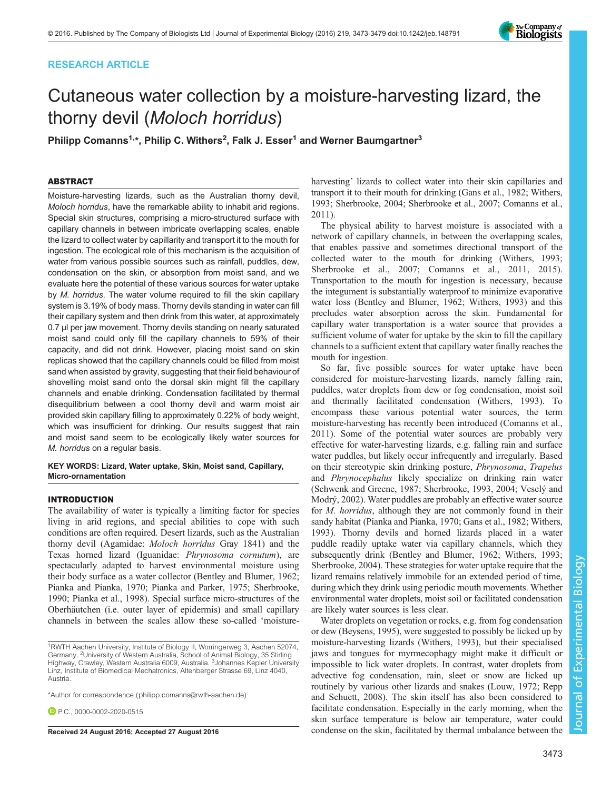# RESEARCH ARTICLE



# Cutaneous water collection by a moisture-harvesting lizard, the thorny devil (Moloch horridus)

Philipp Comanns<sup>1,</sup>\*, Philip C. Withers<sup>2</sup>, Falk J. Esser<sup>1</sup> and Werner Baumgartner<sup>3</sup>

# ABSTRACT

Moisture-harvesting lizards, such as the Australian thorny devil, Moloch horridus, have the remarkable ability to inhabit arid regions. Special skin structures, comprising a micro-structured surface with capillary channels in between imbricate overlapping scales, enable the lizard to collect water by capillarity and transport it to the mouth for ingestion. The ecological role of this mechanism is the acquisition of water from various possible sources such as rainfall, puddles, dew, condensation on the skin, or absorption from moist sand, and we evaluate here the potential of these various sources for water uptake by *M. horridus*. The water volume required to fill the skin capillary system is 3.19% of body mass. Thorny devils standing in water can fill their capillary system and then drink from this water, at approximately 0.7 µl per jaw movement. Thorny devils standing on nearly saturated moist sand could only fill the capillary channels to 59% of their capacity, and did not drink. However, placing moist sand on skin replicas showed that the capillary channels could be filled from moist sand when assisted by gravity, suggesting that their field behaviour of shovelling moist sand onto the dorsal skin might fill the capillary channels and enable drinking. Condensation facilitated by thermal disequilibrium between a cool thorny devil and warm moist air provided skin capillary filling to approximately 0.22% of body weight, which was insufficient for drinking. Our results suggest that rain and moist sand seem to be ecologically likely water sources for M. horridus on a regular basis.

KEY WORDS: Lizard, Water uptake, Skin, Moist sand, Capillary, Micro-ornamentation

## INTRODUCTION

The availability of water is typically a limiting factor for species living in arid regions, and special abilities to cope with such conditions are often required. Desert lizards, such as the Australian thorny devil (Agamidae: Moloch horridus Gray 1841) and the Texas horned lizard (Iguanidae: Phrynosoma cornutum), are spectacularly adapted to harvest environmental moisture using their body surface as a water collector [\(Bentley and Blumer, 1962](#page-6-0); [Pianka and Pianka, 1970; Pianka and Parker, 1975](#page-6-0); [Sherbrooke,](#page-6-0) [1990](#page-6-0); [Pianka et al., 1998\)](#page-6-0). Special surface micro-structures of the Oberhäutchen (i.e. outer layer of epidermis) and small capillary channels in between the scales allow these so-called 'moisture-

**P.C.**, [0000-0002-2020-0515](http://orcid.org/0000-0002-2020-0515)

harvesting' lizards to collect water into their skin capillaries and transport it to their mouth for drinking ([Gans et al., 1982; Withers,](#page-6-0) [1993; Sherbrooke, 2004](#page-6-0); [Sherbrooke et al., 2007; Comanns et al.,](#page-6-0) [2011\)](#page-6-0).

The physical ability to harvest moisture is associated with a network of capillary channels, in between the overlapping scales, that enables passive and sometimes directional transport of the collected water to the mouth for drinking ([Withers, 1993](#page-6-0); [Sherbrooke et al., 2007](#page-6-0); [Comanns et al., 2011](#page-6-0), [2015\)](#page-6-0). Transportation to the mouth for ingestion is necessary, because the integument is substantially waterproof to minimize evaporative water loss ([Bentley and Blumer, 1962](#page-6-0); [Withers, 1993](#page-6-0)) and this precludes water absorption across the skin. Fundamental for capillary water transportation is a water source that provides a sufficient volume of water for uptake by the skin to fill the capillary channels to a sufficient extent that capillary water finally reaches the mouth for ingestion.

So far, five possible sources for water uptake have been considered for moisture-harvesting lizards, namely falling rain, puddles, water droplets from dew or fog condensation, moist soil and thermally facilitated condensation ([Withers, 1993\)](#page-6-0). To encompass these various potential water sources, the term moisture-harvesting has recently been introduced [\(Comanns et al.,](#page-6-0) [2011\)](#page-6-0). Some of the potential water sources are probably very effective for water-harvesting lizards, e.g. falling rain and surface water puddles, but likely occur infrequently and irregularly. Based on their stereotypic skin drinking posture, Phrynosoma, Trapelus and Phrynocephalus likely specialize on drinking rain water [\(Schwenk and Greene, 1987; Sherbrooke, 1993](#page-6-0), [2004](#page-6-0); [Veselý and](#page-6-0) [Modrý, 2002](#page-6-0)). Water puddles are probably an effective water source for M. horridus, although they are not commonly found in their sandy habitat [\(Pianka and Pianka, 1970; Gans et al., 1982](#page-6-0); [Withers,](#page-6-0) [1993\)](#page-6-0). Thorny devils and horned lizards placed in a water puddle readily uptake water via capillary channels, which they subsequently drink [\(Bentley and Blumer, 1962; Withers, 1993](#page-6-0); [Sherbrooke, 2004](#page-6-0)). These strategies for water uptake require that the lizard remains relatively immobile for an extended period of time, during which they drink using periodic mouth movements. Whether environmental water droplets, moist soil or facilitated condensation are likely water sources is less clear.

Water droplets on vegetation or rocks, e.g. from fog condensation or dew ([Beysens, 1995](#page-6-0)), were suggested to possibly be licked up by moisture-harvesting lizards [\(Withers, 1993\)](#page-6-0), but their specialised jaws and tongues for myrmecophagy might make it difficult or impossible to lick water droplets. In contrast, water droplets from advective fog condensation, rain, sleet or snow are licked up routinely by various other lizards and snakes ([Louw, 1972](#page-6-0); [Repp](#page-6-0) [and Schuett, 2008](#page-6-0)). The skin itself has also been considered to facilitate condensation. Especially in the early morning, when the skin surface temperature is below air temperature, water could Received 24 August 2016; Accepted 27 August 2016 condense on the skin, facilitated by thermal imbalance between the

<sup>&</sup>lt;sup>1</sup>RWTH Aachen University, Institute of Biology II, Worringerweg 3, Aachen 52074, Germany. <sup>2</sup>University of Western Australia, School of Animal Biology, 35 Stirling Highway, Crawley, Western Australia 6009, Australia. <sup>3</sup>Johannes Kepler University Linz, Institute of Biomedical Mechatronics, Altenberger Strasse 69, Linz 4040, Austria.

<sup>\*</sup>Author for correspondence [\(philipp.comanns@rwth-aachen.de\)](mailto:philipp.comanns@rwth-aachen.de)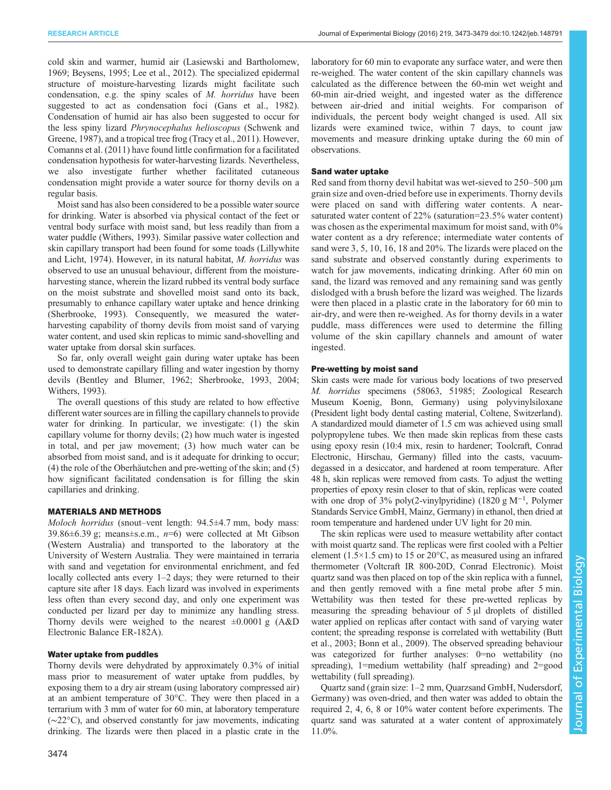cold skin and warmer, humid air ([Lasiewski and Bartholomew,](#page-6-0) [1969](#page-6-0); [Beysens, 1995; Lee et al., 2012](#page-6-0)). The specialized epidermal structure of moisture-harvesting lizards might facilitate such condensation, e.g. the spiny scales of M. horridus have been suggested to act as condensation foci [\(Gans et al., 1982\)](#page-6-0). Condensation of humid air has also been suggested to occur for the less spiny lizard Phrynocephalus helioscopus ([Schwenk and](#page-6-0) [Greene, 1987](#page-6-0)), and a tropical tree frog ([Tracy et al., 2011](#page-6-0)). However, [Comanns et al. \(2011\)](#page-6-0) have found little confirmation for a facilitated condensation hypothesis for water-harvesting lizards. Nevertheless, we also investigate further whether facilitated cutaneous condensation might provide a water source for thorny devils on a regular basis.

Moist sand has also been considered to be a possible water source for drinking. Water is absorbed via physical contact of the feet or ventral body surface with moist sand, but less readily than from a water puddle [\(Withers, 1993\)](#page-6-0). Similar passive water collection and skin capillary transport had been found for some toads ([Lillywhite](#page-6-0) [and Licht, 1974\)](#page-6-0). However, in its natural habitat, M. horridus was observed to use an unusual behaviour, different from the moistureharvesting stance, wherein the lizard rubbed its ventral body surface on the moist substrate and shovelled moist sand onto its back, presumably to enhance capillary water uptake and hence drinking [\(Sherbrooke, 1993\)](#page-6-0). Consequently, we measured the waterharvesting capability of thorny devils from moist sand of varying water content, and used skin replicas to mimic sand-shovelling and water uptake from dorsal skin surfaces.

So far, only overall weight gain during water uptake has been used to demonstrate capillary filling and water ingestion by thorny devils ([Bentley and Blumer, 1962](#page-6-0); [Sherbrooke, 1993, 2004](#page-6-0); [Withers, 1993\)](#page-6-0).

The overall questions of this study are related to how effective different water sources are in filling the capillary channels to provide water for drinking. In particular, we investigate: (1) the skin capillary volume for thorny devils; (2) how much water is ingested in total, and per jaw movement; (3) how much water can be absorbed from moist sand, and is it adequate for drinking to occur; (4) the role of the Oberhäutchen and pre-wetting of the skin; and (5) how significant facilitated condensation is for filling the skin capillaries and drinking.

# MATERIALS AND METHODS

Moloch horridus (snout–vent length: 94.5±4.7 mm, body mass: 39.86 $\pm$ 6.39 g; means $\pm$ s.e.m., n=6) were collected at Mt Gibson (Western Australia) and transported to the laboratory at the University of Western Australia. They were maintained in terraria with sand and vegetation for environmental enrichment, and fed locally collected ants every 1–2 days; they were returned to their capture site after 18 days. Each lizard was involved in experiments less often than every second day, and only one experiment was conducted per lizard per day to minimize any handling stress. Thorny devils were weighed to the nearest  $\pm 0.0001$  g (A&D) Electronic Balance ER-182A).

# Water uptake from puddles

Thorny devils were dehydrated by approximately 0.3% of initial mass prior to measurement of water uptake from puddles, by exposing them to a dry air stream (using laboratory compressed air) at an ambient temperature of 30°C. They were then placed in a terrarium with 3 mm of water for 60 min, at laboratory temperature (∼22°C), and observed constantly for jaw movements, indicating drinking. The lizards were then placed in a plastic crate in the

laboratory for 60 min to evaporate any surface water, and were then re-weighed. The water content of the skin capillary channels was calculated as the difference between the 60-min wet weight and 60-min air-dried weight, and ingested water as the difference between air-dried and initial weights. For comparison of individuals, the percent body weight changed is used. All six lizards were examined twice, within 7 days, to count jaw movements and measure drinking uptake during the 60 min of observations.

# Sand water uptake

Red sand from thorny devil habitat was wet-sieved to 250–500 μm grain size and oven-dried before use in experiments. Thorny devils were placed on sand with differing water contents. A nearsaturated water content of 22% (saturation=23.5% water content) was chosen as the experimental maximum for moist sand, with 0% water content as a dry reference; intermediate water contents of sand were 3, 5, 10, 16, 18 and 20%. The lizards were placed on the sand substrate and observed constantly during experiments to watch for jaw movements, indicating drinking. After 60 min on sand, the lizard was removed and any remaining sand was gently dislodged with a brush before the lizard was weighed. The lizards were then placed in a plastic crate in the laboratory for 60 min to air-dry, and were then re-weighed. As for thorny devils in a water puddle, mass differences were used to determine the filling volume of the skin capillary channels and amount of water ingested.

# Pre-wetting by moist sand

Skin casts were made for various body locations of two preserved M. horridus specimens (58063, 51985; Zoological Research Museum Koenig, Bonn, Germany) using polyvinylsiloxane (President light body dental casting material, Coltene, Switzerland). A standardized mould diameter of 1.5 cm was achieved using small polypropylene tubes. We then made skin replicas from these casts using epoxy resin (10:4 mix, resin to hardener; Toolcraft, Conrad Electronic, Hirschau, Germany) filled into the casts, vacuumdegassed in a desiccator, and hardened at room temperature. After 48 h, skin replicas were removed from casts. To adjust the wetting properties of epoxy resin closer to that of skin, replicas were coated with one drop of 3% poly(2-vinylpyridine) (1820 g M<sup>-1</sup>, Polymer Standards Service GmbH, Mainz, Germany) in ethanol, then dried at room temperature and hardened under UV light for 20 min.

The skin replicas were used to measure wettability after contact with moist quartz sand. The replicas were first cooled with a Peltier element (1.5×1.5 cm) to 15 or 20 $\degree$ C, as measured using an infrared thermometer (Voltcraft IR 800-20D, Conrad Electronic). Moist quartz sand was then placed on top of the skin replica with a funnel, and then gently removed with a fine metal probe after 5 min. Wettability was then tested for these pre-wetted replicas by measuring the spreading behaviour of 5 μl droplets of distilled water applied on replicas after contact with sand of varying water content; the spreading response is correlated with wettability ([Butt](#page-6-0) [et al., 2003; Bonn et al., 2009](#page-6-0)). The observed spreading behaviour was categorized for further analyses: 0=no wettability (no spreading), 1=medium wettability (half spreading) and 2=good wettability (full spreading).

Quartz sand (grain size: 1–2 mm, Quarzsand GmbH, Nudersdorf, Germany) was oven-dried, and then water was added to obtain the required 2, 4, 6, 8 or 10% water content before experiments. The quartz sand was saturated at a water content of approximately 11.0%.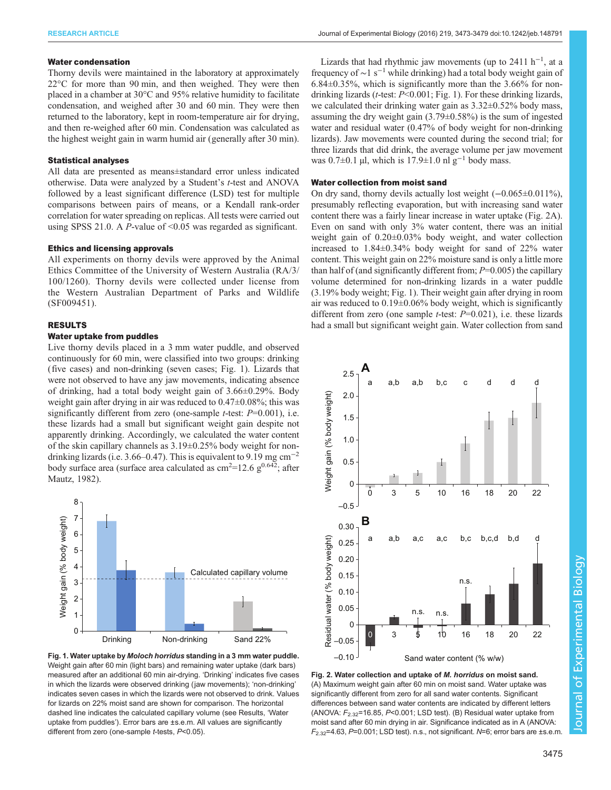## <span id="page-2-0"></span>Water condensation

Thorny devils were maintained in the laboratory at approximately 22°C for more than 90 min, and then weighed. They were then placed in a chamber at 30°C and 95% relative humidity to facilitate condensation, and weighed after 30 and 60 min. They were then returned to the laboratory, kept in room-temperature air for drying, and then re-weighed after 60 min. Condensation was calculated as the highest weight gain in warm humid air (generally after 30 min).

# Statistical analyses

All data are presented as means±standard error unless indicated otherwise. Data were analyzed by a Student's t-test and ANOVA followed by a least significant difference (LSD) test for multiple comparisons between pairs of means, or a Kendall rank-order correlation for water spreading on replicas. All tests were carried out using SPSS 21.0. A *P*-value of  $\leq 0.05$  was regarded as significant.

# Ethics and licensing approvals

All experiments on thorny devils were approved by the Animal Ethics Committee of the University of Western Australia (RA/3/ 100/1260). Thorny devils were collected under license from the Western Australian Department of Parks and Wildlife (SF009451).

# RESULTS

# Water uptake from puddles

Live thorny devils placed in a 3 mm water puddle, and observed continuously for 60 min, were classified into two groups: drinking (five cases) and non-drinking (seven cases; Fig. 1). Lizards that were not observed to have any jaw movements, indicating absence of drinking, had a total body weight gain of 3.66±0.29%. Body weight gain after drying in air was reduced to 0.47±0.08%; this was significantly different from zero (one-sample *t*-test:  $P=0.001$ ), i.e. these lizards had a small but significant weight gain despite not apparently drinking. Accordingly, we calculated the water content of the skin capillary channels as 3.19±0.25% body weight for nondrinking lizards (i.e. 3.66–0.47). This is equivalent to 9.19 mg cm−<sup>2</sup> body surface area (surface area calculated as  $\text{cm}^{2}$ =12.6  $\text{g}^{0.642}$ ; after [Mautz, 1982](#page-6-0)).



Fig. 1. Water uptake by Moloch horridus standing in a 3 mm water puddle. Weight gain after 60 min (light bars) and remaining water uptake (dark bars) measured after an additional 60 min air-drying. 'Drinking' indicates five cases in which the lizards were observed drinking (jaw movements); 'non-drinking' indicates seven cases in which the lizards were not observed to drink. Values for lizards on 22% moist sand are shown for comparison. The horizontal dashed line indicates the calculated capillary volume (see Results, 'Water uptake from puddles'). Error bars are ±s.e.m. All values are significantly different from zero (one-sample t-tests, P<0.05).

Lizards that had rhythmic jaw movements (up to 2411 h<sup>-1</sup>, at a frequency of  $\sim$ 1 s<sup>-1</sup> while drinking) had a total body weight gain of 6.84±0.35%, which is significantly more than the 3.66% for nondrinking lizards ( $t$ -test:  $P < 0.001$ ; Fig. 1). For these drinking lizards, we calculated their drinking water gain as 3.32±0.52% body mass, assuming the dry weight gain (3.79±0.58%) is the sum of ingested water and residual water (0.47% of body weight for non-drinking lizards). Jaw movements were counted during the second trial; for three lizards that did drink, the average volume per jaw movement was  $0.7\pm0.1$  µl, which is 17.9±1.0 nl g<sup>-1</sup> body mass.

### Water collection from moist sand

On dry sand, thorny devils actually lost weight (−0.065±0.011%), presumably reflecting evaporation, but with increasing sand water content there was a fairly linear increase in water uptake (Fig. 2A). Even on sand with only 3% water content, there was an initial weight gain of 0.20±0.03% body weight, and water collection increased to 1.84±0.34% body weight for sand of 22% water content. This weight gain on 22% moisture sand is only a little more than half of (and significantly different from;  $P=0.005$ ) the capillary volume determined for non-drinking lizards in a water puddle (3.19% body weight; Fig. 1). Their weight gain after drying in room air was reduced to 0.19±0.06% body weight, which is significantly different from zero (one sample *t*-test:  $P=0.021$ ), i.e. these lizards had a small but significant weight gain. Water collection from sand



Fig. 2. Water collection and uptake of M. horridus on moist sand. (A) Maximum weight gain after 60 min on moist sand. Water uptake was significantly different from zero for all sand water contents. Significant differences between sand water contents are indicated by different letters (ANOVA:  $F_{2.32}$ =16.85, P<0.001; LSD test). (B) Residual water uptake from moist sand after 60 min drying in air. Significance indicated as in A (ANOVA:  $F_{2,32}$ =4.63, P=0.001; LSD test). n.s., not significant. N=6; error bars are ±s.e.m.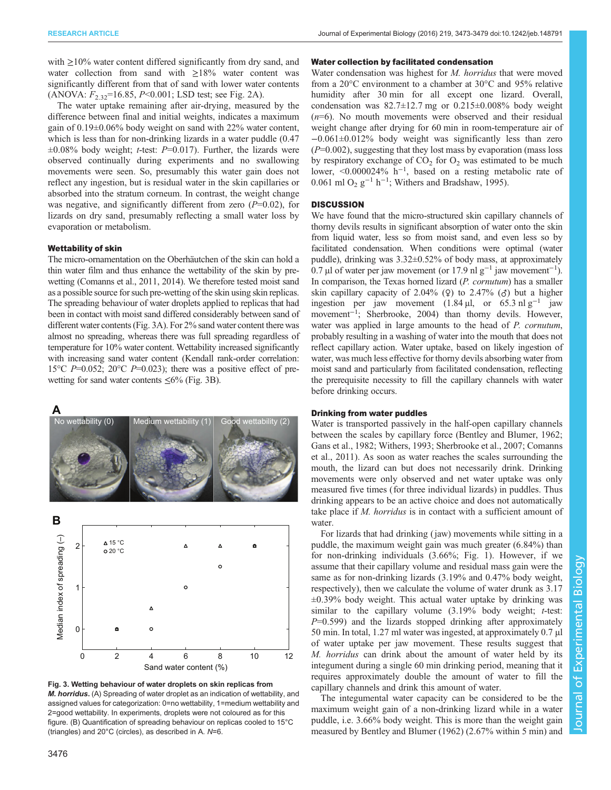<span id="page-3-0"></span>with  $\geq$ 10% water content differed significantly from dry sand, and water collection from sand with ≥18% water content was significantly different from that of sand with lower water contents  $(ANOVA: F_{2.32} = 16.85, P < 0.001; LSD test; see Fig. 2A).$  $(ANOVA: F_{2.32} = 16.85, P < 0.001; LSD test; see Fig. 2A).$  $(ANOVA: F_{2.32} = 16.85, P < 0.001; LSD test; see Fig. 2A).$ 

The water uptake remaining after air-drying, measured by the difference between final and initial weights, indicates a maximum gain of 0.19±0.06% body weight on sand with 22% water content, which is less than for non-drinking lizards in a water puddle (0.47  $\pm 0.08\%$  body weight; *t*-test: *P*=0.017). Further, the lizards were observed continually during experiments and no swallowing movements were seen. So, presumably this water gain does not reflect any ingestion, but is residual water in the skin capillaries or absorbed into the stratum corneum. In contrast, the weight change was negative, and significantly different from zero  $(P=0.02)$ , for lizards on dry sand, presumably reflecting a small water loss by evaporation or metabolism.

# Wettability of skin

The micro-ornamentation on the Oberhäutchen of the skin can hold a thin water film and thus enhance the wettability of the skin by prewetting [\(Comanns et al., 2011, 2014\)](#page-6-0). We therefore tested moist sand as a possible source for such pre-wetting of the skin using skin replicas. The spreading behaviour of water droplets applied to replicas that had been in contact with moist sand differed considerably between sand of different water contents (Fig. 3A). For 2% sand water content there was almost no spreading, whereas there was full spreading regardless of temperature for 10% water content. Wettability increased significantly with increasing sand water content (Kendall rank-order correlation: 15 $\degree$ C P=0.052; 20 $\degree$ C P=0.023); there was a positive effect of prewetting for sand water contents  $\leq 6\%$  (Fig. 3B).



Fig. 3. Wetting behaviour of water droplets on skin replicas from M. horridus. (A) Spreading of water droplet as an indication of wettability, and assigned values for categorization: 0=no wettability, 1=medium wettability and 2=good wettability. In experiments, droplets were not coloured as for this figure. (B) Quantification of spreading behaviour on replicas cooled to 15°C (triangles) and 20°C (circles), as described in A. N=6.

# Water collection by facilitated condensation

Water condensation was highest for *M. horridus* that were moved from a 20°C environment to a chamber at 30°C and 95% relative humidity after 30 min for all except one lizard. Overall, condensation was  $82.7 \pm 12.7$  mg or  $0.215 \pm 0.008\%$  body weight  $(n=6)$ . No mouth movements were observed and their residual weight change after drying for 60 min in room-temperature air of −0.061±0.012% body weight was significantly less than zero  $(P=0.002)$ , suggesting that they lost mass by evaporation (mass loss by respiratory exchange of  $CO<sub>2</sub>$  for  $O<sub>2</sub>$  was estimated to be much lower, <0.000024% h−<sup>1</sup> , based on a resting metabolic rate of 0.061 ml O<sub>2</sub> g<sup>-1</sup> h<sup>-1</sup>; [Withers and Bradshaw, 1995](#page-6-0)).

## **DISCUSSION**

We have found that the micro-structured skin capillary channels of thorny devils results in significant absorption of water onto the skin from liquid water, less so from moist sand, and even less so by facilitated condensation. When conditions were optimal (water puddle), drinking was 3.32±0.52% of body mass, at approximately 0.7 μl of water per jaw movement (or 17.9 nl g<sup>-1</sup> jaw movement<sup>-1</sup>). In comparison, the Texas horned lizard (P. cornutum) has a smaller skin capillary capacity of 2.04% ( $\varphi$ ) to 2.47% ( $\varphi$ ) but a higher ingestion per jaw movement (1.84 μl, or 65.3 nl  $g^{-1}$  jaw movement−<sup>1</sup> ; [Sherbrooke, 2004\)](#page-6-0) than thorny devils. However, water was applied in large amounts to the head of P. *cornutum*, probably resulting in a washing of water into the mouth that does not reflect capillary action. Water uptake, based on likely ingestion of water, was much less effective for thorny devils absorbing water from moist sand and particularly from facilitated condensation, reflecting the prerequisite necessity to fill the capillary channels with water before drinking occurs.

## Drinking from water puddles

Water is transported passively in the half-open capillary channels between the scales by capillary force ([Bentley and Blumer, 1962](#page-6-0); [Gans et al., 1982; Withers, 1993; Sherbrooke et al., 2007; Comanns](#page-6-0) [et al., 2011](#page-6-0)). As soon as water reaches the scales surrounding the mouth, the lizard can but does not necessarily drink. Drinking movements were only observed and net water uptake was only measured five times (for three individual lizards) in puddles. Thus drinking appears to be an active choice and does not automatically take place if M. horridus is in contact with a sufficient amount of water.

For lizards that had drinking (jaw) movements while sitting in a puddle, the maximum weight gain was much greater (6.84%) than for non-drinking individuals (3.66%; [Fig. 1](#page-2-0)). However, if we assume that their capillary volume and residual mass gain were the same as for non-drinking lizards (3.19% and 0.47% body weight, respectively), then we calculate the volume of water drunk as 3.17  $\pm 0.39\%$  body weight. This actual water uptake by drinking was similar to the capillary volume  $(3.19\%$  body weight; *t*-test:  $P=0.599$ ) and the lizards stopped drinking after approximately 50 min. In total, 1.27 ml water was ingested, at approximately 0.7 μl of water uptake per jaw movement. These results suggest that M. horridus can drink about the amount of water held by its integument during a single 60 min drinking period, meaning that it requires approximately double the amount of water to fill the capillary channels and drink this amount of water.

The integumental water capacity can be considered to be the maximum weight gain of a non-drinking lizard while in a water puddle, i.e. 3.66% body weight. This is more than the weight gain measured by [Bentley and Blumer \(1962\)](#page-6-0) (2.67% within 5 min) and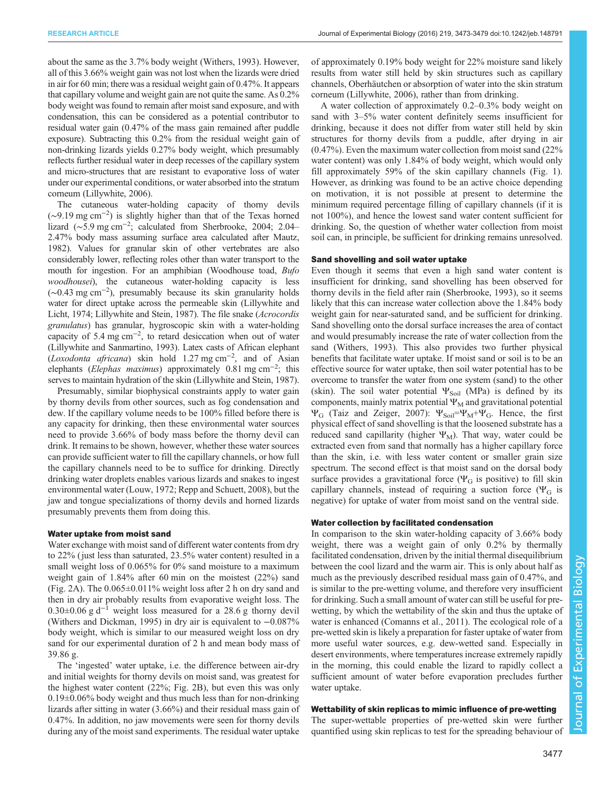about the same as the 3.7% body weight ([Withers, 1993\)](#page-6-0). However, all of this 3.66% weight gain was not lost when the lizards were dried in air for 60 min; there was a residual weight gain of 0.47%. It appears that capillary volume and weight gain are not quite the same. As 0.2% body weight was found to remain after moist sand exposure, and with condensation, this can be considered as a potential contributor to residual water gain (0.47% of the mass gain remained after puddle exposure). Subtracting this 0.2% from the residual weight gain of non-drinking lizards yields 0.27% body weight, which presumably reflects further residual water in deep recesses of the capillary system and micro-structures that are resistant to evaporative loss of water under our experimental conditions, or water absorbed into the stratum corneum [\(Lillywhite, 2006\)](#page-6-0).

The cutaneous water-holding capacity of thorny devils (∼9.19 mg cm−<sup>2</sup> ) is slightly higher than that of the Texas horned lizard (~5.9 mg cm<sup>-2</sup>; calculated from [Sherbrooke, 2004](#page-6-0); 2.04– 2.47% body mass assuming surface area calculated after [Mautz,](#page-6-0) [1982\)](#page-6-0). Values for granular skin of other vertebrates are also considerably lower, reflecting roles other than water transport to the mouth for ingestion. For an amphibian (Woodhouse toad, *Bufo* woodhousei), the cutaneous water-holding capacity is less (∼0.43 mg cm−<sup>2</sup> ), presumably because its skin granularity holds water for direct uptake across the permeable skin [\(Lillywhite and](#page-6-0) [Licht, 1974; Lillywhite and Stein, 1987](#page-6-0)). The file snake (Acrocordis granulatus) has granular, hygroscopic skin with a water-holding capacity of 5.4 mg cm−<sup>2</sup> , to retard desiccation when out of water [\(Lillywhite and Sanmartino, 1993\)](#page-6-0). Latex casts of African elephant (Loxodonta africana) skin hold 1.27 mg cm<sup>-2</sup>, and of Asian elephants (Elephas maximus) approximately 0.81 mg cm<sup>-2</sup>; this serves to maintain hydration of the skin ([Lillywhite and Stein, 1987\)](#page-6-0).

Presumably, similar biophysical constraints apply to water gain by thorny devils from other sources, such as fog condensation and dew. If the capillary volume needs to be 100% filled before there is any capacity for drinking, then these environmental water sources need to provide 3.66% of body mass before the thorny devil can drink. It remains to be shown, however, whether these water sources can provide sufficient water to fill the capillary channels, or how full the capillary channels need to be to suffice for drinking. Directly drinking water droplets enables various lizards and snakes to ingest environmental water [\(Louw, 1972](#page-6-0); [Repp and Schuett, 2008](#page-6-0)), but the jaw and tongue specializations of thorny devils and horned lizards presumably prevents them from doing this.

### Water uptake from moist sand

Water exchange with moist sand of different water contents from dry to 22% (just less than saturated, 23.5% water content) resulted in a small weight loss of 0.065% for 0% sand moisture to a maximum weight gain of 1.84% after 60 min on the moistest (22%) sand [\(Fig. 2](#page-2-0)A). The 0.065±0.011% weight loss after 2 h on dry sand and then in dry air probably results from evaporative weight loss. The 0.30±0.06 g d−<sup>1</sup> weight loss measured for a 28.6 g thorny devil [\(Withers and Dickman, 1995\)](#page-6-0) in dry air is equivalent to −0.087% body weight, which is similar to our measured weight loss on dry sand for our experimental duration of 2 h and mean body mass of 39.86 g.

The 'ingested' water uptake, i.e. the difference between air-dry and initial weights for thorny devils on moist sand, was greatest for the highest water content (22%; [Fig. 2](#page-2-0)B), but even this was only 0.19±0.06% body weight and thus much less than for non-drinking lizards after sitting in water (3.66%) and their residual mass gain of 0.47%. In addition, no jaw movements were seen for thorny devils during any of the moist sand experiments. The residual water uptake

of approximately 0.19% body weight for 22% moisture sand likely results from water still held by skin structures such as capillary channels, Oberhäutchen or absorption of water into the skin stratum corneum ([Lillywhite, 2006\)](#page-6-0), rather than from drinking.

A water collection of approximately 0.2–0.3% body weight on sand with 3–5% water content definitely seems insufficient for drinking, because it does not differ from water still held by skin structures for thorny devils from a puddle, after drying in air (0.47%). Even the maximum water collection from moist sand (22% water content) was only 1.84% of body weight, which would only fill approximately 59% of the skin capillary channels [\(Fig. 1\)](#page-2-0). However, as drinking was found to be an active choice depending on motivation, it is not possible at present to determine the minimum required percentage filling of capillary channels (if it is not 100%), and hence the lowest sand water content sufficient for drinking. So, the question of whether water collection from moist soil can, in principle, be sufficient for drinking remains unresolved.

## Sand shovelling and soil water uptake

Even though it seems that even a high sand water content is insufficient for drinking, sand shovelling has been observed for thorny devils in the field after rain [\(Sherbrooke, 1993](#page-6-0)), so it seems likely that this can increase water collection above the 1.84% body weight gain for near-saturated sand, and be sufficient for drinking. Sand shovelling onto the dorsal surface increases the area of contact and would presumably increase the rate of water collection from the sand [\(Withers, 1993\)](#page-6-0). This also provides two further physical benefits that facilitate water uptake. If moist sand or soil is to be an effective source for water uptake, then soil water potential has to be overcome to transfer the water from one system (sand) to the other (skin). The soil water potential  $\Psi_{\text{Soil}}$  (MPa) is defined by its components, mainly matrix potential  $\Psi_M$  and gravitational potential  $\Psi_G$  [\(Taiz and Zeiger, 2007\)](#page-6-0):  $\Psi_{Soil} = \Psi_M + \Psi_G$ . Hence, the first physical effect of sand shovelling is that the loosened substrate has a reduced sand capillarity (higher  $\Psi_M$ ). That way, water could be extracted even from sand that normally has a higher capillary force than the skin, i.e. with less water content or smaller grain size spectrum. The second effect is that moist sand on the dorsal body surface provides a gravitational force ( $\Psi_G$  is positive) to fill skin capillary channels, instead of requiring a suction force ( $\Psi$ <sup>G</sup> is negative) for uptake of water from moist sand on the ventral side.

## Water collection by facilitated condensation

In comparison to the skin water-holding capacity of 3.66% body weight, there was a weight gain of only 0.2% by thermally facilitated condensation, driven by the initial thermal disequilibrium between the cool lizard and the warm air. This is only about half as much as the previously described residual mass gain of 0.47%, and is similar to the pre-wetting volume, and therefore very insufficient for drinking. Such a small amount of water can still be useful for prewetting, by which the wettability of the skin and thus the uptake of water is enhanced [\(Comanns et al., 2011\)](#page-6-0). The ecological role of a pre-wetted skin is likely a preparation for faster uptake of water from more useful water sources, e.g. dew-wetted sand. Especially in desert environments, where temperatures increase extremely rapidly in the morning, this could enable the lizard to rapidly collect a sufficient amount of water before evaporation precludes further water uptake.

# Wettability of skin replicas to mimic influence of pre-wetting

The super-wettable properties of pre-wetted skin were further quantified using skin replicas to test for the spreading behaviour of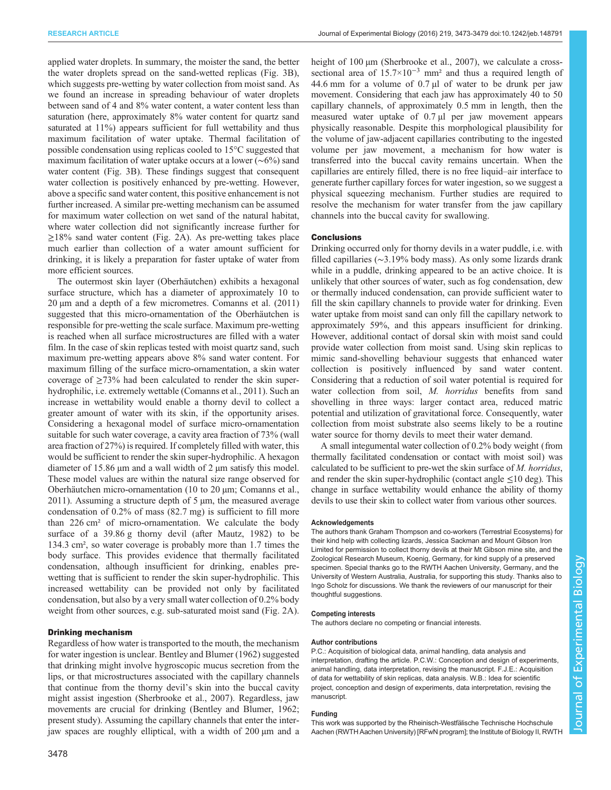applied water droplets. In summary, the moister the sand, the better the water droplets spread on the sand-wetted replicas [\(Fig. 3](#page-3-0)B), which suggests pre-wetting by water collection from moist sand. As we found an increase in spreading behaviour of water droplets between sand of 4 and 8% water content, a water content less than saturation (here, approximately 8% water content for quartz sand saturated at 11%) appears sufficient for full wettability and thus maximum facilitation of water uptake. Thermal facilitation of possible condensation using replicas cooled to 15°C suggested that maximum facilitation of water uptake occurs at a lower (∼6%) sand water content [\(Fig. 3B](#page-3-0)). These findings suggest that consequent water collection is positively enhanced by pre-wetting. However, above a specific sand water content, this positive enhancement is not further increased. A similar pre-wetting mechanism can be assumed for maximum water collection on wet sand of the natural habitat, where water collection did not significantly increase further for ≥18% sand water content [\(Fig. 2A](#page-2-0)). As pre-wetting takes place much earlier than collection of a water amount sufficient for drinking, it is likely a preparation for faster uptake of water from more efficient sources.

The outermost skin layer (Oberhäutchen) exhibits a hexagonal surface structure, which has a diameter of approximately 10 to 20 μm and a depth of a few micrometres. [Comanns et al. \(2011\)](#page-6-0) suggested that this micro-ornamentation of the Oberhäutchen is responsible for pre-wetting the scale surface. Maximum pre-wetting is reached when all surface microstructures are filled with a water film. In the case of skin replicas tested with moist quartz sand, such maximum pre-wetting appears above 8% sand water content. For maximum filling of the surface micro-ornamentation, a skin water coverage of ≥73% had been calculated to render the skin superhydrophilic, i.e. extremely wettable ([Comanns et al., 2011\)](#page-6-0). Such an increase in wettability would enable a thorny devil to collect a greater amount of water with its skin, if the opportunity arises. Considering a hexagonal model of surface micro-ornamentation suitable for such water coverage, a cavity area fraction of 73% (wall area fraction of 27%) is required. If completely filled with water, this would be sufficient to render the skin super-hydrophilic. A hexagon diameter of 15.86 μm and a wall width of 2 μm satisfy this model. These model values are within the natural size range observed for Oberhäutchen micro-ornamentation (10 to 20 μm; [Comanns et al.,](#page-6-0) [2011](#page-6-0)). Assuming a structure depth of 5 μm, the measured average condensation of 0.2% of mass (82.7 mg) is sufficient to fill more than 226 cm² of micro-ornamentation. We calculate the body surface of a 39.86 g thorny devil (after [Mautz, 1982](#page-6-0)) to be 134.3 cm², so water coverage is probably more than 1.7 times the body surface. This provides evidence that thermally facilitated condensation, although insufficient for drinking, enables prewetting that is sufficient to render the skin super-hydrophilic. This increased wettability can be provided not only by facilitated condensation, but also by a very small water collection of 0.2% body weight from other sources, e.g. sub-saturated moist sand [\(Fig. 2A](#page-2-0)).

# Drinking mechanism

Regardless of how water is transported to the mouth, the mechanism for water ingestion is unclear. [Bentley and Blumer \(1962\)](#page-6-0) suggested that drinking might involve hygroscopic mucus secretion from the lips, or that microstructures associated with the capillary channels that continue from the thorny devil's skin into the buccal cavity might assist ingestion ([Sherbrooke et al., 2007](#page-6-0)). Regardless, jaw movements are crucial for drinking [\(Bentley and Blumer, 1962](#page-6-0); present study). Assuming the capillary channels that enter the interjaw spaces are roughly elliptical, with a width of 200 μm and a height of 100 μm [\(Sherbrooke et al., 2007](#page-6-0)), we calculate a crosssectional area of 15.7×10−<sup>3</sup> mm² and thus a required length of 44.6 mm for a volume of 0.7 μl of water to be drunk per jaw movement. Considering that each jaw has approximately 40 to 50 capillary channels, of approximately 0.5 mm in length, then the measured water uptake of 0.7 μl per jaw movement appears physically reasonable. Despite this morphological plausibility for the volume of jaw-adjacent capillaries contributing to the ingested volume per jaw movement, a mechanism for how water is transferred into the buccal cavity remains uncertain. When the capillaries are entirely filled, there is no free liquid–air interface to generate further capillary forces for water ingestion, so we suggest a physical squeezing mechanism. Further studies are required to resolve the mechanism for water transfer from the jaw capillary channels into the buccal cavity for swallowing.

# **Conclusions**

Drinking occurred only for thorny devils in a water puddle, i.e. with filled capillaries (∼3.19% body mass). As only some lizards drank while in a puddle, drinking appeared to be an active choice. It is unlikely that other sources of water, such as fog condensation, dew or thermally induced condensation, can provide sufficient water to fill the skin capillary channels to provide water for drinking. Even water uptake from moist sand can only fill the capillary network to approximately 59%, and this appears insufficient for drinking. However, additional contact of dorsal skin with moist sand could provide water collection from moist sand. Using skin replicas to mimic sand-shovelling behaviour suggests that enhanced water collection is positively influenced by sand water content. Considering that a reduction of soil water potential is required for water collection from soil, M. horridus benefits from sand shovelling in three ways: larger contact area, reduced matric potential and utilization of gravitational force. Consequently, water collection from moist substrate also seems likely to be a routine water source for thorny devils to meet their water demand.

A small integumental water collection of 0.2% body weight (from thermally facilitated condensation or contact with moist soil) was calculated to be sufficient to pre-wet the skin surface of M. horridus, and render the skin super-hydrophilic (contact angle ≤10 deg). This change in surface wettability would enhance the ability of thorny devils to use their skin to collect water from various other sources.

#### **Acknowledgements**

The authors thank Graham Thompson and co-workers (Terrestrial Ecosystems) for their kind help with collecting lizards, Jessica Sackman and Mount Gibson Iron Limited for permission to collect thorny devils at their Mt Gibson mine site, and the Zoological Research Museum, Koenig, Germany, for kind supply of a preserved specimen. Special thanks go to the RWTH Aachen University, Germany, and the University of Western Australia, Australia, for supporting this study. Thanks also to Ingo Scholz for discussions. We thank the reviewers of our manuscript for their thoughtful suggestions.

#### Competing interests

The authors declare no competing or financial interests.

#### Author contributions

P.C.: Acquisition of biological data, animal handling, data analysis and interpretation, drafting the article. P.C.W.: Conception and design of experiments, animal handling, data interpretation, revising the manuscript. F.J.E.: Acquisition of data for wettability of skin replicas, data analysis. W.B.: Idea for scientific project, conception and design of experiments, data interpretation, revising the manuscript.

#### Funding

This work was supported by the Rheinisch-Westfälische Technische Hochschule Aachen (RWTH Aachen University) [RFwN program]; the Institute of Biology II, RWTH